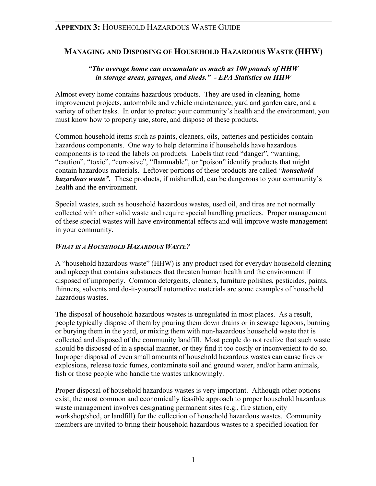## **MANAGING AND DISPOSING OF HOUSEHOLD HAZARDOUS WASTE (HHW)**

### *"The average home can accumulate as much as 100 pounds of HHW in storage areas, garages, and sheds." - EPA Statistics on HHW*

Almost every home contains hazardous products. They are used in cleaning, home improvement projects, automobile and vehicle maintenance, yard and garden care, and a variety of other tasks. In order to protect your community's health and the environment, you must know how to properly use, store, and dispose of these products.

Common household items such as paints, cleaners, oils, batteries and pesticides contain hazardous components. One way to help determine if households have hazardous components is to read the labels on products. Labels that read "danger", "warning, "caution", "toxic", "corrosive", "flammable", or "poison" identify products that might contain hazardous materials. Leftover portions of these products are called "*household hazardous waste".* These products, if mishandled, can be dangerous to your community's health and the environment.

Special wastes, such as household hazardous wastes, used oil, and tires are not normally collected with other solid waste and require special handling practices. Proper management of these special wastes will have environmental effects and will improve waste management in your community.

### *WHAT IS A HOUSEHOLD HAZARDOUS WASTE?*

A "household hazardous waste" (HHW) is any product used for everyday household cleaning and upkeep that contains substances that threaten human health and the environment if disposed of improperly. Common detergents, cleaners, furniture polishes, pesticides, paints, thinners, solvents and do-it-yourself automotive materials are some examples of household hazardous wastes.

The disposal of household hazardous wastes is unregulated in most places. As a result, people typically dispose of them by pouring them down drains or in sewage lagoons, burning or burying them in the yard, or mixing them with non-hazardous household waste that is collected and disposed of the community landfill. Most people do not realize that such waste should be disposed of in a special manner, or they find it too costly or inconvenient to do so. Improper disposal of even small amounts of household hazardous wastes can cause fires or explosions, release toxic fumes, contaminate soil and ground water, and/or harm animals, fish or those people who handle the wastes unknowingly.

Proper disposal of household hazardous wastes is very important. Although other options exist, the most common and economically feasible approach to proper household hazardous waste management involves designating permanent sites (e.g., fire station, city workshop/shed, or landfill) for the collection of household hazardous wastes. Community members are invited to bring their household hazardous wastes to a specified location for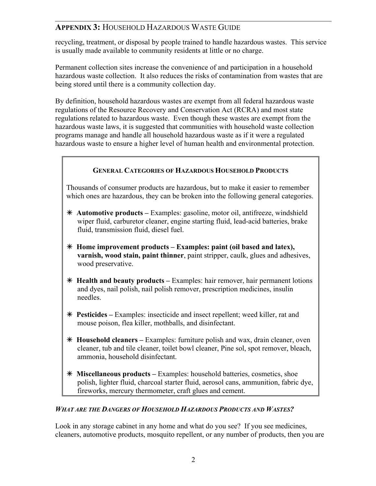recycling, treatment, or disposal by people trained to handle hazardous wastes. This service is usually made available to community residents at little or no charge.

Permanent collection sites increase the convenience of and participation in a household hazardous waste collection. It also reduces the risks of contamination from wastes that are being stored until there is a community collection day.

By definition, household hazardous wastes are exempt from all federal hazardous waste regulations of the Resource Recovery and Conservation Act (RCRA) and most state regulations related to hazardous waste. Even though these wastes are exempt from the hazardous waste laws, it is suggested that communities with household waste collection programs manage and handle all household hazardous waste as if it were a regulated hazardous waste to ensure a higher level of human health and environmental protection.

### **GENERAL CATEGORIES OF HAZARDOUS HOUSEHOLD PRODUCTS**

Thousands of consumer products are hazardous, but to make it easier to remember which ones are hazardous, they can be broken into the following general categories.

- Ã **Automotive products** Examples: gasoline, motor oil, antifreeze, windshield wiper fluid, carburetor cleaner, engine starting fluid, lead-acid batteries, brake fluid, transmission fluid, diesel fuel.
- Ã **Home improvement products Examples: paint (oil based and latex), varnish, wood stain, paint thinner**, paint stripper, caulk, glues and adhesives, wood preservative.
- Ã **Health and beauty products** Examples: hair remover, hair permanent lotions and dyes, nail polish, nail polish remover, prescription medicines, insulin needles.
- Ã **Pesticides** Examples: insecticide and insect repellent; weed killer, rat and mouse poison, flea killer, mothballs, and disinfectant.
- Ã **Household cleaners** Examples: furniture polish and wax, drain cleaner, oven cleaner, tub and tile cleaner, toilet bowl cleaner, Pine sol, spot remover, bleach, ammonia, household disinfectant.
- Ã **Miscellaneous products** Examples: household batteries, cosmetics, shoe polish, lighter fluid, charcoal starter fluid, aerosol cans, ammunition, fabric dye, fireworks, mercury thermometer, craft glues and cement.

### *WHAT ARE THE DANGERS OF HOUSEHOLD HAZARDOUS PRODUCTS AND WASTES?*

Look in any storage cabinet in any home and what do you see? If you see medicines, cleaners, automotive products, mosquito repellent, or any number of products, then you are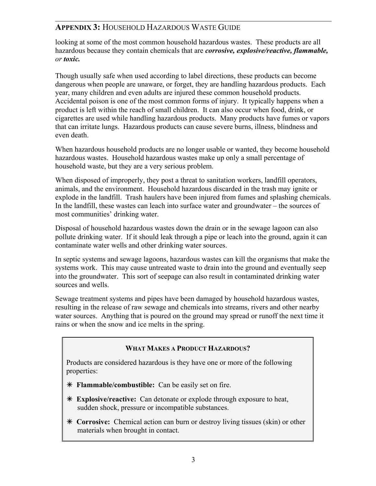looking at some of the most common household hazardous wastes. These products are all hazardous because they contain chemicals that are *corrosive, explosive/reactive, flammable, or toxic.*

Though usually safe when used according to label directions, these products can become dangerous when people are unaware, or forget, they are handling hazardous products. Each year, many children and even adults are injured these common household products. Accidental poison is one of the most common forms of injury. It typically happens when a product is left within the reach of small children. It can also occur when food, drink, or cigarettes are used while handling hazardous products. Many products have fumes or vapors that can irritate lungs. Hazardous products can cause severe burns, illness, blindness and even death.

When hazardous household products are no longer usable or wanted, they become household hazardous wastes. Household hazardous wastes make up only a small percentage of household waste, but they are a very serious problem.

When disposed of improperly, they post a threat to sanitation workers, landfill operators, animals, and the environment. Household hazardous discarded in the trash may ignite or explode in the landfill. Trash haulers have been injured from fumes and splashing chemicals. In the landfill, these wastes can leach into surface water and groundwater – the sources of most communities' drinking water.

Disposal of household hazardous wastes down the drain or in the sewage lagoon can also pollute drinking water. If it should leak through a pipe or leach into the ground, again it can contaminate water wells and other drinking water sources.

In septic systems and sewage lagoons, hazardous wastes can kill the organisms that make the systems work. This may cause untreated waste to drain into the ground and eventually seep into the groundwater. This sort of seepage can also result in contaminated drinking water sources and wells.

Sewage treatment systems and pipes have been damaged by household hazardous wastes, resulting in the release of raw sewage and chemicals into streams, rivers and other nearby water sources. Anything that is poured on the ground may spread or runoff the next time it rains or when the snow and ice melts in the spring.

### **WHAT MAKES A PRODUCT HAZARDOUS?**

Products are considered hazardous is they have one or more of the following properties:

- Ã **Flammable/combustible:** Can be easily set on fire.
- Ã **Explosive/reactive:** Can detonate or explode through exposure to heat, sudden shock, pressure or incompatible substances.
- Ã **Corrosive:** Chemical action can burn or destroy living tissues (skin) or other materials when brought in contact.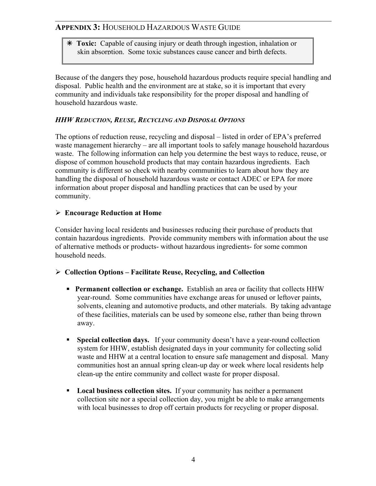Ã **Toxic:** Capable of causing injury or death through ingestion, inhalation or skin absorption. Some toxic substances cause cancer and birth defects.

Because of the dangers they pose, household hazardous products require special handling and disposal. Public health and the environment are at stake, so it is important that every community and individuals take responsibility for the proper disposal and handling of household hazardous waste.

### *HHW REDUCTION, REUSE, RECYCLING AND DISPOSAL OPTIONS*

The options of reduction reuse, recycling and disposal – listed in order of EPA's preferred waste management hierarchy – are all important tools to safely manage household hazardous waste. The following information can help you determine the best ways to reduce, reuse, or dispose of common household products that may contain hazardous ingredients. Each community is different so check with nearby communities to learn about how they are handling the disposal of household hazardous waste or contact ADEC or EPA for more information about proper disposal and handling practices that can be used by your community.

### ¾ **Encourage Reduction at Home**

Consider having local residents and businesses reducing their purchase of products that contain hazardous ingredients. Provide community members with information about the use of alternative methods or products- without hazardous ingredients- for some common household needs.

### ¾ **Collection Options – Facilitate Reuse, Recycling, and Collection**

- **Permanent collection or exchange.** Establish an area or facility that collects HHW year-round. Some communities have exchange areas for unused or leftover paints, solvents, cleaning and automotive products, and other materials. By taking advantage of these facilities, materials can be used by someone else, rather than being thrown away.
- **Special collection days.** If your community doesn't have a year-round collection system for HHW, establish designated days in your community for collecting solid waste and HHW at a central location to ensure safe management and disposal. Many communities host an annual spring clean-up day or week where local residents help clean-up the entire community and collect waste for proper disposal.
- **Local business collection sites.** If your community has neither a permanent collection site nor a special collection day, you might be able to make arrangements with local businesses to drop off certain products for recycling or proper disposal.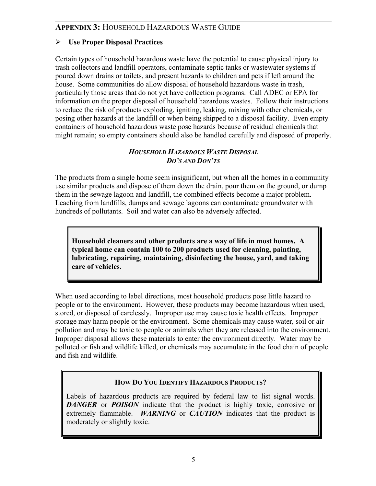### ¾ **Use Proper Disposal Practices**

Certain types of household hazardous waste have the potential to cause physical injury to trash collectors and landfill operators, contaminate septic tanks or wastewater systems if poured down drains or toilets, and present hazards to children and pets if left around the house. Some communities do allow disposal of household hazardous waste in trash, particularly those areas that do not yet have collection programs. Call ADEC or EPA for information on the proper disposal of household hazardous wastes. Follow their instructions to reduce the risk of products exploding, igniting, leaking, mixing with other chemicals, or posing other hazards at the landfill or when being shipped to a disposal facility. Even empty containers of household hazardous waste pose hazards because of residual chemicals that might remain; so empty containers should also be handled carefully and disposed of properly.

#### *HOUSEHOLD HAZARDOUS WASTE DISPOSAL DO'S AND DON'TS*

The products from a single home seem insignificant, but when all the homes in a community use similar products and dispose of them down the drain, pour them on the ground, or dump them in the sewage lagoon and landfill, the combined effects become a major problem. Leaching from landfills, dumps and sewage lagoons can contaminate groundwater with hundreds of pollutants. Soil and water can also be adversely affected.

**Household cleaners and other products are a way of life in most homes. A typical home can contain 100 to 200 products used for cleaning, painting, lubricating, repairing, maintaining, disinfecting the house, yard, and taking care of vehicles.** 

When used according to label directions, most household products pose little hazard to people or to the environment. However, these products may become hazardous when used, stored, or disposed of carelessly. Improper use may cause toxic health effects. Improper storage may harm people or the environment. Some chemicals may cause water, soil or air pollution and may be toxic to people or animals when they are released into the environment. Improper disposal allows these materials to enter the environment directly. Water may be polluted or fish and wildlife killed, or chemicals may accumulate in the food chain of people and fish and wildlife.

### **HOW DO YOU IDENTIFY HAZARDOUS PRODUCTS?**

Labels of hazardous products are required by federal law to list signal words. *DANGER* or *POISON* indicate that the product is highly toxic, corrosive or extremely flammable. *WARNING* or *CAUTION* indicates that the product is moderately or slightly toxic.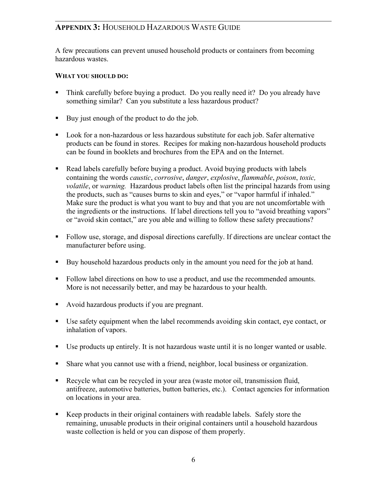A few precautions can prevent unused household products or containers from becoming hazardous wastes.

#### **WHAT YOU SHOULD DO:**

- Think carefully before buying a product. Do you really need it? Do you already have something similar? Can you substitute a less hazardous product?
- Buy just enough of the product to do the job.
- **Look for a non-hazardous or less hazardous substitute for each job. Safer alternative** products can be found in stores. Recipes for making non-hazardous household products can be found in booklets and brochures from the EPA and on the Internet.
- Read labels carefully before buying a product. Avoid buying products with labels containing the words *caustic*, *corrosive*, *danger*, *explosive*, *flammable*, *poison*, *toxic, volatile*, or *warning.* Hazardous product labels often list the principal hazards from using the products, such as "causes burns to skin and eyes," or "vapor harmful if inhaled." Make sure the product is what you want to buy and that you are not uncomfortable with the ingredients or the instructions. If label directions tell you to "avoid breathing vapors" or "avoid skin contact," are you able and willing to follow these safety precautions?
- Follow use, storage, and disposal directions carefully. If directions are unclear contact the manufacturer before using.
- Buy household hazardous products only in the amount you need for the job at hand.
- Follow label directions on how to use a product, and use the recommended amounts. More is not necessarily better, and may be hazardous to your health.
- Avoid hazardous products if you are pregnant.
- Use safety equipment when the label recommends avoiding skin contact, eye contact, or inhalation of vapors.
- Use products up entirely. It is not hazardous waste until it is no longer wanted or usable.
- Share what you cannot use with a friend, neighbor, local business or organization.
- Recycle what can be recycled in your area (waste motor oil, transmission fluid, antifreeze, automotive batteries, button batteries, etc.). Contact agencies for information on locations in your area.
- Keep products in their original containers with readable labels. Safely store the remaining, unusable products in their original containers until a household hazardous waste collection is held or you can dispose of them properly.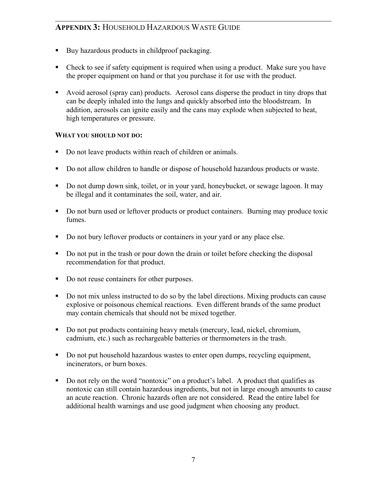- Buy hazardous products in childproof packaging.
- Check to see if safety equipment is required when using a product. Make sure you have the proper equipment on hand or that you purchase it for use with the product.
- Avoid aerosol (spray can) products. Aerosol cans disperse the product in tiny drops that can be deeply inhaled into the lungs and quickly absorbed into the bloodstream. In addition, aerosols can ignite easily and the cans may explode when subjected to heat, high temperatures or pressure.

### **WHAT YOU SHOULD NOT DO:**

- Do not leave products within reach of children or animals.
- Do not allow children to handle or dispose of household hazardous products or waste.
- Do not dump down sink, toilet, or in your yard, honeybucket, or sewage lagoon. It may be illegal and it contaminates the soil, water, and air.
- Do not burn used or leftover products or product containers. Burning may produce toxic fumes.
- Do not bury leftover products or containers in your yard or any place else.
- Do not put in the trash or pour down the drain or toilet before checking the disposal recommendation for that product.
- Do not reuse containers for other purposes.
- Do not mix unless instructed to do so by the label directions. Mixing products can cause explosive or poisonous chemical reactions. Even different brands of the same product may contain chemicals that should not be mixed together.
- Do not put products containing heavy metals (mercury, lead, nickel, chromium, cadmium, etc.) such as rechargeable batteries or thermometers in the trash.
- Do not put household hazardous wastes to enter open dumps, recycling equipment, incinerators, or burn boxes.
- Do not rely on the word "nontoxic" on a product's label. A product that qualifies as nontoxic can still contain hazardous ingredients, but not in large enough amounts to cause an acute reaction. Chronic hazards often are not considered. Read the entire label for additional health warnings and use good judgment when choosing any product.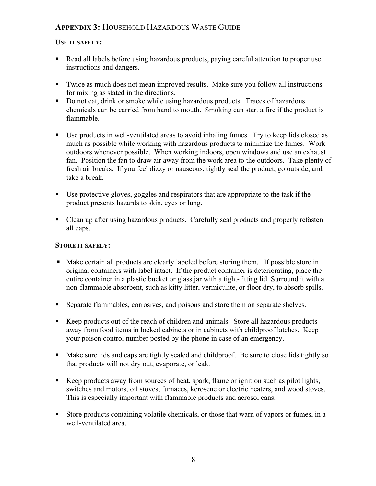### **USE IT SAFELY:**

- Read all labels before using hazardous products, paying careful attention to proper use instructions and dangers.
- Twice as much does not mean improved results. Make sure you follow all instructions for mixing as stated in the directions.
- Do not eat, drink or smoke while using hazardous products. Traces of hazardous chemicals can be carried from hand to mouth. Smoking can start a fire if the product is flammable.
- Use products in well-ventilated areas to avoid inhaling fumes. Try to keep lids closed as much as possible while working with hazardous products to minimize the fumes. Work outdoors whenever possible. When working indoors, open windows and use an exhaust fan. Position the fan to draw air away from the work area to the outdoors. Take plenty of fresh air breaks. If you feel dizzy or nauseous, tightly seal the product, go outside, and take a break.
- Use protective gloves, goggles and respirators that are appropriate to the task if the product presents hazards to skin, eyes or lung.
- Clean up after using hazardous products. Carefully seal products and properly refasten all caps.

### **STORE IT SAFELY:**

- Make certain all products are clearly labeled before storing them. If possible store in original containers with label intact. If the product container is deteriorating, place the entire container in a plastic bucket or glass jar with a tight-fitting lid. Surround it with a non-flammable absorbent, such as kitty litter, vermiculite, or floor dry, to absorb spills.
- Separate flammables, corrosives, and poisons and store them on separate shelves.
- Keep products out of the reach of children and animals. Store all hazardous products away from food items in locked cabinets or in cabinets with childproof latches. Keep your poison control number posted by the phone in case of an emergency.
- Make sure lids and caps are tightly sealed and childproof. Be sure to close lids tightly so that products will not dry out, evaporate, or leak.
- Keep products away from sources of heat, spark, flame or ignition such as pilot lights, switches and motors, oil stoves, furnaces, kerosene or electric heaters, and wood stoves. This is especially important with flammable products and aerosol cans.
- Store products containing volatile chemicals, or those that warn of vapors or fumes, in a well-ventilated area.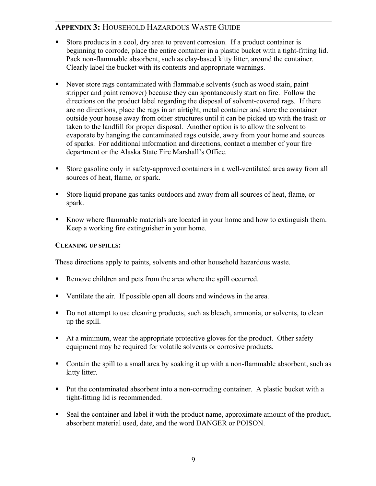- Store products in a cool, dry area to prevent corrosion. If a product container is beginning to corrode, place the entire container in a plastic bucket with a tight-fitting lid. Pack non-flammable absorbent, such as clay-based kitty litter, around the container. Clearly label the bucket with its contents and appropriate warnings.
- Never store rags contaminated with flammable solvents (such as wood stain, paint stripper and paint remover) because they can spontaneously start on fire. Follow the directions on the product label regarding the disposal of solvent-covered rags. If there are no directions, place the rags in an airtight, metal container and store the container outside your house away from other structures until it can be picked up with the trash or taken to the landfill for proper disposal. Another option is to allow the solvent to evaporate by hanging the contaminated rags outside, away from your home and sources of sparks. For additional information and directions, contact a member of your fire department or the Alaska State Fire Marshall's Office.
- Store gasoline only in safety-approved containers in a well-ventilated area away from all sources of heat, flame, or spark.
- Store liquid propane gas tanks outdoors and away from all sources of heat, flame, or spark.
- Know where flammable materials are located in your home and how to extinguish them. Keep a working fire extinguisher in your home.

#### **CLEANING UP SPILLS:**

These directions apply to paints, solvents and other household hazardous waste.

- Remove children and pets from the area where the spill occurred.
- Ventilate the air. If possible open all doors and windows in the area.
- Do not attempt to use cleaning products, such as bleach, ammonia, or solvents, to clean up the spill.
- At a minimum, wear the appropriate protective gloves for the product. Other safety equipment may be required for volatile solvents or corrosive products.
- Contain the spill to a small area by soaking it up with a non-flammable absorbent, such as kitty litter.
- Put the contaminated absorbent into a non-corroding container. A plastic bucket with a tight-fitting lid is recommended.
- Seal the container and label it with the product name, approximate amount of the product, absorbent material used, date, and the word DANGER or POISON.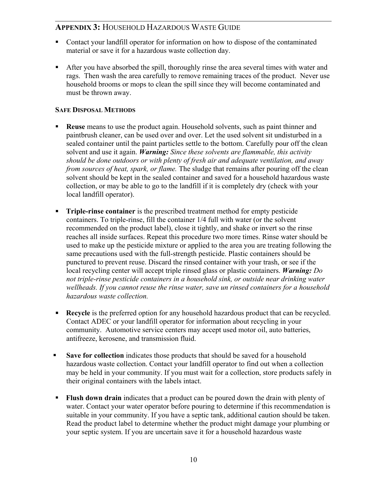- Contact your landfill operator for information on how to dispose of the contaminated material or save it for a hazardous waste collection day.
- After you have absorbed the spill, thoroughly rinse the area several times with water and rags. Then wash the area carefully to remove remaining traces of the product. Never use household brooms or mops to clean the spill since they will become contaminated and must be thrown away.

### **SAFE DISPOSAL METHODS**

- **Reuse** means to use the product again. Household solvents, such as paint thinner and paintbrush cleaner, can be used over and over. Let the used solvent sit undisturbed in a sealed container until the paint particles settle to the bottom. Carefully pour off the clean solvent and use it again. *Warning: Since these solvents are flammable, this activity should be done outdoors or with plenty of fresh air and adequate ventilation, and away from sources of heat, spark, or flame.* The sludge that remains after pouring off the clean solvent should be kept in the sealed container and saved for a household hazardous waste collection, or may be able to go to the landfill if it is completely dry (check with your local landfill operator).
- **Triple-rinse container** is the prescribed treatment method for empty pesticide containers. To triple-rinse, fill the container 1/4 full with water (or the solvent recommended on the product label), close it tightly, and shake or invert so the rinse reaches all inside surfaces. Repeat this procedure two more times. Rinse water should be used to make up the pesticide mixture or applied to the area you are treating following the same precautions used with the full-strength pesticide. Plastic containers should be punctured to prevent reuse. Discard the rinsed container with your trash, or see if the local recycling center will accept triple rinsed glass or plastic containers. *Warning: Do not triple-rinse pesticide containers in a household sink, or outside near drinking water wellheads. If you cannot reuse the rinse water, save un rinsed containers for a household hazardous waste collection.*
- **Recycle** is the preferred option for any household hazardous product that can be recycled. Contact ADEC or your landfill operator for information about recycling in your community. Automotive service centers may accept used motor oil, auto batteries, antifreeze, kerosene, and transmission fluid.
- **Save for collection** indicates those products that should be saved for a household hazardous waste collection. Contact your landfill operator to find out when a collection may be held in your community. If you must wait for a collection, store products safely in their original containers with the labels intact.
- **Flush down drain** indicates that a product can be poured down the drain with plenty of water. Contact your water operator before pouring to determine if this recommendation is suitable in your community. If you have a septic tank, additional caution should be taken. Read the product label to determine whether the product might damage your plumbing or your septic system. If you are uncertain save it for a household hazardous waste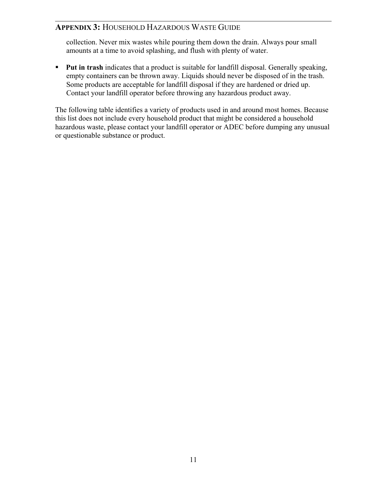collection. Never mix wastes while pouring them down the drain. Always pour small amounts at a time to avoid splashing, and flush with plenty of water.

**Put in trash** indicates that a product is suitable for landfill disposal. Generally speaking, empty containers can be thrown away. Liquids should never be disposed of in the trash. Some products are acceptable for landfill disposal if they are hardened or dried up. Contact your landfill operator before throwing any hazardous product away.

The following table identifies a variety of products used in and around most homes. Because this list does not include every household product that might be considered a household hazardous waste, please contact your landfill operator or ADEC before dumping any unusual or questionable substance or product.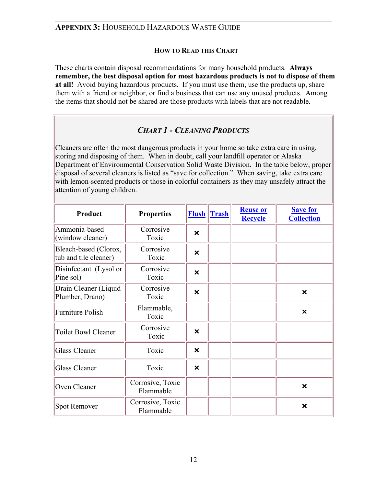### **HOW TO READ THIS CHART**

These charts contain disposal recommendations for many household products. **Always remember, the best disposal option for most hazardous products is not to dispose of them at all!** Avoid buying hazardous products. If you must use them, use the products up, share them with a friend or neighbor, or find a business that can use any unused products. Among the items that should not be shared are those products with labels that are not readable.

## *CHART 1 - CLEANING PRODUCTS*

Cleaners are often the most dangerous products in your home so take extra care in using, storing and disposing of them. When in doubt, call your landfill operator or Alaska Department of Environmental Conservation Solid Waste Division. In the table below, proper disposal of several cleaners is listed as "save for collection." When saving, take extra care with lemon-scented products or those in colorful containers as they may unsafely attract the attention of young children.

| Product                                        | <b>Properties</b>             | <b>Flush</b>              | <b>Trash</b> | <b>Reuse or</b><br><b>Recycle</b> | <b>Save for</b><br><b>Collection</b> |
|------------------------------------------------|-------------------------------|---------------------------|--------------|-----------------------------------|--------------------------------------|
| Ammonia-based<br>(window cleaner)              | Corrosive<br>Toxic            | ×                         |              |                                   |                                      |
| Bleach-based (Clorox,<br>tub and tile cleaner) | Corrosive<br>Toxic            | $\boldsymbol{\mathsf{x}}$ |              |                                   |                                      |
| Disinfectant (Lysol or<br>Pine sol)            | Corrosive<br>Toxic            | ×                         |              |                                   |                                      |
| Drain Cleaner (Liquid<br>Plumber, Drano)       | Corrosive<br>Toxic            | $\boldsymbol{\mathsf{x}}$ |              |                                   | $\boldsymbol{\mathsf{x}}$            |
| <b>Furniture Polish</b>                        | Flammable,<br>Toxic           |                           |              |                                   | ×                                    |
| <b>Toilet Bowl Cleaner</b>                     | Corrosive<br>Toxic            | $\boldsymbol{\mathsf{x}}$ |              |                                   |                                      |
| Glass Cleaner                                  | Toxic                         | ×                         |              |                                   |                                      |
| Glass Cleaner                                  | Toxic                         | ×                         |              |                                   |                                      |
| Oven Cleaner                                   | Corrosive, Toxic<br>Flammable |                           |              |                                   | ×                                    |
| Spot Remover                                   | Corrosive, Toxic<br>Flammable |                           |              |                                   | ×                                    |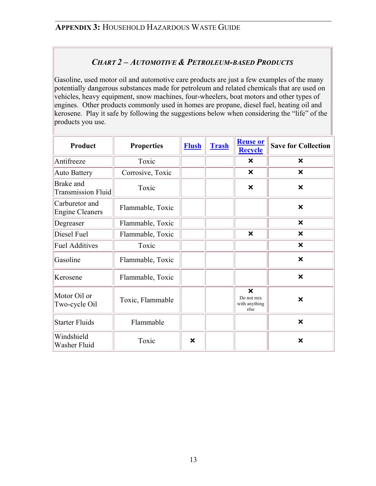## *CHART 2 – AUTOMOTIVE & PETROLEUM-BASED PRODUCTS*

Gasoline, used motor oil and automotive care products are just a few examples of the many potentially dangerous substances made for petroleum and related chemicals that are used on vehicles, heavy equipment, snow machines, four-wheelers, boat motors and other types of engines. Other products commonly used in homes are propane, diesel fuel, heating oil and kerosene. Play it safe by following the suggestions below when considering the "life" of the products you use.

| Product                                  | <b>Properties</b> | <b>Flush</b> | <b>Trash</b> | <b>Reuse or</b><br><b>Recycle</b>                                | <b>Save for Collection</b> |
|------------------------------------------|-------------------|--------------|--------------|------------------------------------------------------------------|----------------------------|
| Antifreeze                               | Toxic             |              |              | $\boldsymbol{\mathsf{x}}$                                        | ×                          |
| <b>Auto Battery</b>                      | Corrosive, Toxic  |              |              | ×                                                                | $\boldsymbol{\mathsf{x}}$  |
| Brake and<br><b>Transmission Fluid</b>   | Toxic             |              |              | $\boldsymbol{\mathsf{x}}$                                        | $\boldsymbol{\mathsf{x}}$  |
| Carburetor and<br><b>Engine Cleaners</b> | Flammable, Toxic  |              |              |                                                                  | $\boldsymbol{\mathsf{x}}$  |
| Degreaser                                | Flammable, Toxic  |              |              |                                                                  | $\boldsymbol{\mathsf{x}}$  |
| Diesel Fuel                              | Flammable, Toxic  |              |              | $\boldsymbol{\mathsf{x}}$                                        | $\boldsymbol{\mathsf{x}}$  |
| <b>Fuel Additives</b>                    | Toxic             |              |              |                                                                  | $\boldsymbol{\mathsf{x}}$  |
| Gasoline                                 | Flammable, Toxic  |              |              |                                                                  | $\boldsymbol{\mathsf{x}}$  |
| Kerosene                                 | Flammable, Toxic  |              |              |                                                                  | $\boldsymbol{\mathsf{x}}$  |
| Motor Oil or<br>Two-cycle Oil            | Toxic, Flammable  |              |              | $\boldsymbol{\mathsf{x}}$<br>Do not mix<br>with anything<br>else | $\boldsymbol{\mathsf{x}}$  |
| <b>Starter Fluids</b>                    | Flammable         |              |              |                                                                  | $\boldsymbol{\mathsf{x}}$  |
| Windshield<br>Washer Fluid               | Toxic             | ×            |              |                                                                  | $\boldsymbol{\mathsf{x}}$  |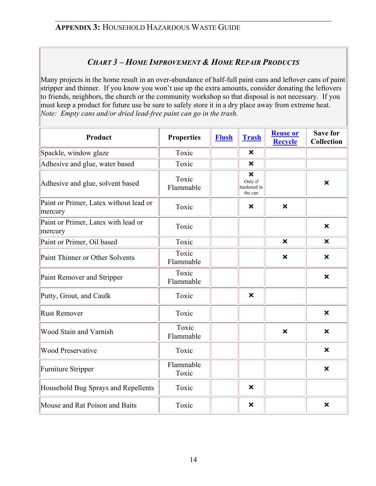## *CHART 3 – HOME IMPROVEMENT & HOME REPAIR PRODUCTS*

Many projects in the home result in an over-abundance of half-full paint cans and leftover cans of paint stripper and thinner. If you know you won't use up the extra amounts, consider donating the leftovers to friends, neighbors, the church or the community workshop so that disposal is not necessary. If you must keep a product for future use be sure to safely store it in a dry place away from extreme heat. *Note: Empty cans and/or dried lead-free paint can go in the trash.* 

| <b>Product</b>                                    | <b>Properties</b>  | <b>Flush</b> | <b>Trash</b>                                                   | <b>Reuse or</b><br><b>Recycle</b> | <b>Save for</b><br><b>Collection</b> |
|---------------------------------------------------|--------------------|--------------|----------------------------------------------------------------|-----------------------------------|--------------------------------------|
| Spackle, window glaze                             | Toxic              |              | $\boldsymbol{\mathsf{x}}$                                      |                                   |                                      |
| Adhesive and glue, water based                    | Toxic              |              | $\boldsymbol{\mathsf{x}}$                                      |                                   |                                      |
| Adhesive and glue, solvent based                  | Toxic<br>Flammable |              | $\boldsymbol{\mathsf{x}}$<br>Only if<br>hardened in<br>the can |                                   | $\boldsymbol{\mathsf{x}}$            |
| Paint or Primer, Latex without lead or<br>mercury | Toxic              |              | $\boldsymbol{\mathsf{x}}$                                      | $\boldsymbol{\mathsf{x}}$         |                                      |
| Paint or Primer, Latex with lead or<br>mercury    | Toxic              |              |                                                                |                                   | $\boldsymbol{\mathsf{x}}$            |
| Paint or Primer, Oil based                        | Toxic              |              |                                                                | $\boldsymbol{\mathsf{x}}$         | $\boldsymbol{\mathsf{x}}$            |
| Paint Thinner or Other Solvents                   | Toxic<br>Flammable |              |                                                                | $\boldsymbol{\mathsf{x}}$         | $\boldsymbol{\mathsf{x}}$            |
| Paint Remover and Stripper                        | Toxic<br>Flammable |              |                                                                |                                   | $\boldsymbol{\mathsf{x}}$            |
| Putty, Grout, and Caulk                           | Toxic              |              | $\boldsymbol{\mathsf{x}}$                                      |                                   |                                      |
| <b>Rust Remover</b>                               | Toxic              |              |                                                                |                                   | $\boldsymbol{\mathsf{x}}$            |
| Wood Stain and Varnish                            | Toxic<br>Flammable |              |                                                                | $\boldsymbol{\mathsf{x}}$         | $\boldsymbol{\mathsf{x}}$            |
| <b>Wood Preservative</b>                          | Toxic              |              |                                                                |                                   | $\boldsymbol{\mathsf{x}}$            |
| Furniture Stripper                                | Flammable<br>Toxic |              |                                                                |                                   | $\boldsymbol{\mathsf{x}}$            |
| Household Bug Sprays and Repellents               | Toxic              |              | $\boldsymbol{\mathsf{x}}$                                      |                                   |                                      |
| Mouse and Rat Poison and Baits                    | Toxic              |              | ×                                                              |                                   | $\boldsymbol{\mathsf{x}}$            |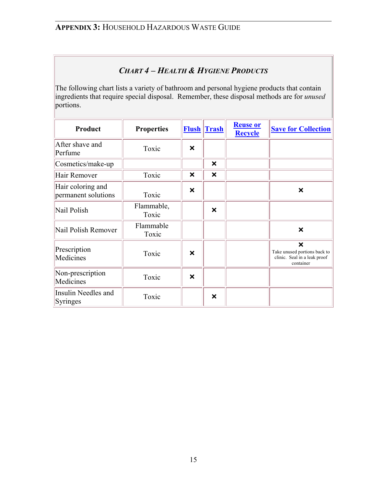## *CHART 4 – HEALTH & HYGIENE PRODUCTS*

The following chart lists a variety of bathroom and personal hygiene products that contain ingredients that require special disposal. Remember, these disposal methods are for *unused* portions.

| Product                                  | <b>Properties</b>   |                           | <b>Flush Trash</b>        | <b>Reuse or</b><br><b>Recycle</b> | <b>Save for Collection</b>                                                                             |
|------------------------------------------|---------------------|---------------------------|---------------------------|-----------------------------------|--------------------------------------------------------------------------------------------------------|
| After shave and<br>Perfume               | Toxic               | ×                         |                           |                                   |                                                                                                        |
| Cosmetics/make-up                        |                     |                           | $\boldsymbol{\mathsf{x}}$ |                                   |                                                                                                        |
| Hair Remover                             | Toxic               | X                         | ×                         |                                   |                                                                                                        |
| Hair coloring and<br>permanent solutions | Toxic               | $\boldsymbol{\mathsf{x}}$ |                           |                                   | ×                                                                                                      |
| Nail Polish                              | Flammable,<br>Toxic |                           | $\boldsymbol{\mathsf{x}}$ |                                   |                                                                                                        |
| Nail Polish Remover                      | Flammable<br>Toxic  |                           |                           |                                   | ×                                                                                                      |
| Prescription<br>Medicines                | Toxic               | X                         |                           |                                   | $\boldsymbol{\mathsf{x}}$<br>Take unused portions back to<br>clinic. Seal in a leak proof<br>container |
| Non-prescription<br>Medicines            | Toxic               | ×                         |                           |                                   |                                                                                                        |
| Insulin Needles and<br>Syringes          | Toxic               |                           | ×                         |                                   |                                                                                                        |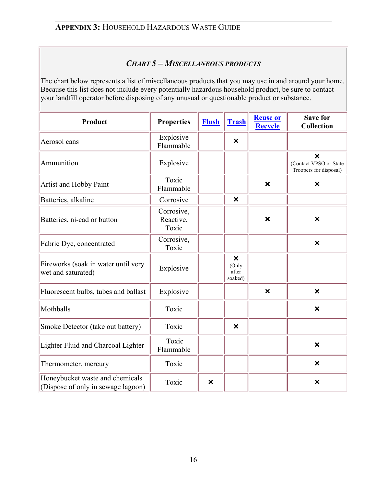## *CHART 5 – MISCELLANEOUS PRODUCTS*

The chart below represents a list of miscellaneous products that you may use in and around your home. Because this list does not include every potentially hazardous household product, be sure to contact your landfill operator before disposing of any unusual or questionable product or substance.

| Product                                                               | <b>Properties</b>                | <b>Flush</b> | <b>Trash</b>                                           | <b>Reuse or</b><br><b>Recycle</b> | <b>Save for</b><br><b>Collection</b>                                          |
|-----------------------------------------------------------------------|----------------------------------|--------------|--------------------------------------------------------|-----------------------------------|-------------------------------------------------------------------------------|
| Aerosol cans                                                          | Explosive<br>Flammable           |              | $\boldsymbol{\mathsf{x}}$                              |                                   |                                                                               |
| Ammunition                                                            | Explosive                        |              |                                                        |                                   | $\boldsymbol{\mathsf{x}}$<br>(Contact VPSO or State<br>Troopers for disposal) |
| Artist and Hobby Paint                                                | Toxic<br>Flammable               |              |                                                        | $\boldsymbol{\mathsf{x}}$         | ×                                                                             |
| Batteries, alkaline                                                   | Corrosive                        |              | $\boldsymbol{\mathsf{x}}$                              |                                   |                                                                               |
| Batteries, ni-cad or button                                           | Corrosive,<br>Reactive,<br>Toxic |              |                                                        | $\boldsymbol{\mathsf{x}}$         | $\boldsymbol{\mathsf{x}}$                                                     |
| Fabric Dye, concentrated                                              | Corrosive,<br>Toxic              |              |                                                        |                                   | $\boldsymbol{\mathsf{x}}$                                                     |
| Fireworks (soak in water until very<br>wet and saturated)             | Explosive                        |              | $\boldsymbol{\mathsf{x}}$<br>(Only<br>after<br>soaked) |                                   |                                                                               |
| Fluorescent bulbs, tubes and ballast                                  | Explosive                        |              |                                                        | $\boldsymbol{\mathsf{x}}$         | $\boldsymbol{\mathsf{x}}$                                                     |
| Mothballs                                                             | Toxic                            |              |                                                        |                                   | $\boldsymbol{\mathsf{x}}$                                                     |
| Smoke Detector (take out battery)                                     | Toxic                            |              | $\boldsymbol{\mathsf{x}}$                              |                                   |                                                                               |
| Lighter Fluid and Charcoal Lighter                                    | Toxic<br>Flammable               |              |                                                        |                                   | $\boldsymbol{\mathsf{x}}$                                                     |
| Thermometer, mercury                                                  | Toxic                            |              |                                                        |                                   | ×                                                                             |
| Honeybucket waste and chemicals<br>(Dispose of only in sewage lagoon) | Toxic                            | ×            |                                                        |                                   | $\boldsymbol{\mathsf{x}}$                                                     |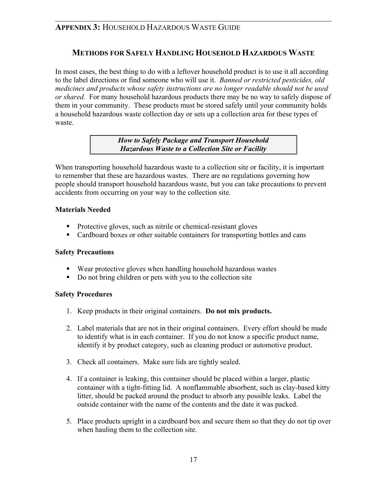## **METHODS FOR SAFELY HANDLING HOUSEHOLD HAZARDOUS WASTE**

In most cases, the best thing to do with a leftover household product is to use it all according to the label directions or find someone who will use it. *Banned or restricted pesticides, old medicines and products whose safety instructions are no longer readable should not be used or shared.* For many household hazardous products there may be no way to safely dispose of them in your community. These products must be stored safely until your community holds a household hazardous waste collection day or sets up a collection area for these types of waste.

> *How to Safely Package and Transport Household Hazardous Waste to a Collection Site or Facility*

When transporting household hazardous waste to a collection site or facility, it is important to remember that these are hazardous wastes. There are no regulations governing how people should transport household hazardous waste, but you can take precautions to prevent accidents from occurring on your way to the collection site.

#### **Materials Needed**

- Protective gloves, such as nitrile or chemical-resistant gloves
- Cardboard boxes or other suitable containers for transporting bottles and cans

### **Safety Precautions**

- Wear protective gloves when handling household hazardous wastes
- Do not bring children or pets with you to the collection site

### **Safety Procedures**

- 1. Keep products in their original containers. **Do not mix products.**
- 2. Label materials that are not in their original containers. Every effort should be made to identify what is in each container. If you do not know a specific product name, identify it by product category, such as cleaning product or automotive product.
- 3. Check all containers. Make sure lids are tightly sealed.
- 4. If a container is leaking, this container should be placed within a larger, plastic container with a tight-fitting lid. A nonflammable absorbent, such as clay-based kitty litter, should be packed around the product to absorb any possible leaks. Label the outside container with the name of the contents and the date it was packed.
- 5. Place products upright in a cardboard box and secure them so that they do not tip over when hauling them to the collection site.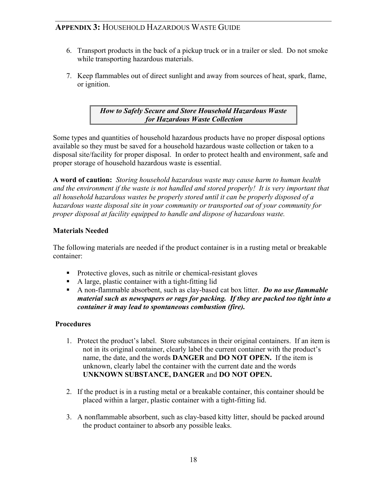- 6. Transport products in the back of a pickup truck or in a trailer or sled. Do not smoke while transporting hazardous materials.
- 7. Keep flammables out of direct sunlight and away from sources of heat, spark, flame, or ignition.

*How to Safely Secure and Store Household Hazardous Waste for Hazardous Waste Collection* 

Some types and quantities of household hazardous products have no proper disposal options available so they must be saved for a household hazardous waste collection or taken to a disposal site/facility for proper disposal. In order to protect health and environment, safe and proper storage of household hazardous waste is essential.

**A word of caution:** *Storing household hazardous waste may cause harm to human health and the environment if the waste is not handled and stored properly! It is very important that all household hazardous wastes be properly stored until it can be properly disposed of a hazardous waste disposal site in your community or transported out of your community for proper disposal at facility equipped to handle and dispose of hazardous waste.* 

### **Materials Needed**

The following materials are needed if the product container is in a rusting metal or breakable container:

- Protective gloves, such as nitrile or chemical-resistant gloves
- A large, plastic container with a tight-fitting lid
- A non-flammable absorbent, such as clay-based cat box litter. *Do no use flammable material such as newspapers or rags for packing. If they are packed too tight into a container it may lead to spontaneous combustion (fire).*

### **Procedures**

- 1. Protect the product's label. Store substances in their original containers. If an item is not in its original container, clearly label the current container with the product's name, the date, and the words **DANGER** and **DO NOT OPEN.** If the item is unknown, clearly label the container with the current date and the words **UNKNOWN SUBSTANCE, DANGER** and **DO NOT OPEN.**
- 2. If the product is in a rusting metal or a breakable container, this container should be placed within a larger, plastic container with a tight-fitting lid.
- 3. A nonflammable absorbent, such as clay-based kitty litter, should be packed around the product container to absorb any possible leaks.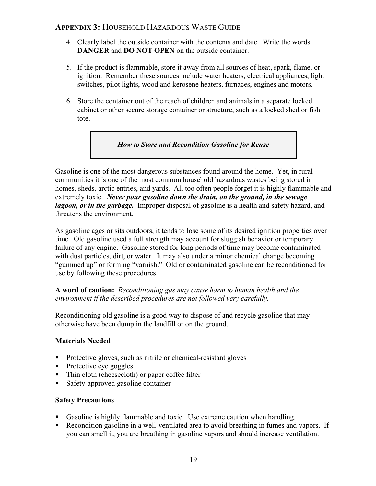- 4. Clearly label the outside container with the contents and date. Write the words **DANGER** and **DO NOT OPEN** on the outside container.
- 5. If the product is flammable, store it away from all sources of heat, spark, flame, or ignition. Remember these sources include water heaters, electrical appliances, light switches, pilot lights, wood and kerosene heaters, furnaces, engines and motors.
- 6. Store the container out of the reach of children and animals in a separate locked cabinet or other secure storage container or structure, such as a locked shed or fish tote.

*How to Store and Recondition Gasoline for Reuse* 

Gasoline is one of the most dangerous substances found around the home. Yet, in rural communities it is one of the most common household hazardous wastes being stored in homes, sheds, arctic entries, and yards. All too often people forget it is highly flammable and extremely toxic. *Never pour gasoline down the drain, on the ground, in the sewage lagoon, or in the garbage.* Improper disposal of gasoline is a health and safety hazard, and threatens the environment.

As gasoline ages or sits outdoors, it tends to lose some of its desired ignition properties over time. Old gasoline used a full strength may account for sluggish behavior or temporary failure of any engine. Gasoline stored for long periods of time may become contaminated with dust particles, dirt, or water. It may also under a minor chemical change becoming "gummed up" or forming "varnish." Old or contaminated gasoline can be reconditioned for use by following these procedures.

**A word of caution:** *Reconditioning gas may cause harm to human health and the environment if the described procedures are not followed very carefully.*

Reconditioning old gasoline is a good way to dispose of and recycle gasoline that may otherwise have been dump in the landfill or on the ground.

### **Materials Needed**

- Protective gloves, such as nitrile or chemical-resistant gloves
- Protective eye goggles
- Thin cloth (cheesecloth) or paper coffee filter
- Safety-approved gasoline container

### **Safety Precautions**

- Gasoline is highly flammable and toxic. Use extreme caution when handling.
- Recondition gasoline in a well-ventilated area to avoid breathing in fumes and vapors. If you can smell it, you are breathing in gasoline vapors and should increase ventilation.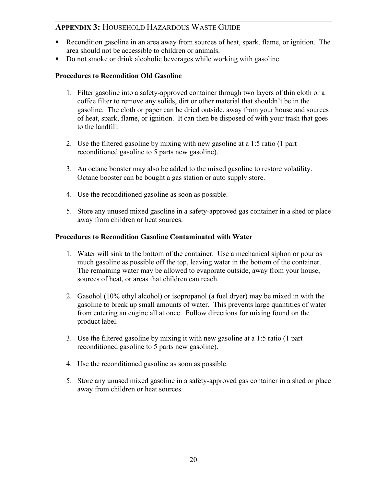- Recondition gasoline in an area away from sources of heat, spark, flame, or ignition. The area should not be accessible to children or animals.
- Do not smoke or drink alcoholic beverages while working with gasoline.

#### **Procedures to Recondition Old Gasoline**

- 1. Filter gasoline into a safety-approved container through two layers of thin cloth or a coffee filter to remove any solids, dirt or other material that shouldn't be in the gasoline. The cloth or paper can be dried outside, away from your house and sources of heat, spark, flame, or ignition. It can then be disposed of with your trash that goes to the landfill.
- 2. Use the filtered gasoline by mixing with new gasoline at a 1:5 ratio (1 part reconditioned gasoline to 5 parts new gasoline).
- 3. An octane booster may also be added to the mixed gasoline to restore volatility. Octane booster can be bought a gas station or auto supply store.
- 4. Use the reconditioned gasoline as soon as possible.
- 5. Store any unused mixed gasoline in a safety-approved gas container in a shed or place away from children or heat sources.

#### **Procedures to Recondition Gasoline Contaminated with Water**

- 1. Water will sink to the bottom of the container. Use a mechanical siphon or pour as much gasoline as possible off the top, leaving water in the bottom of the container. The remaining water may be allowed to evaporate outside, away from your house, sources of heat, or areas that children can reach.
- 2. Gasohol (10% ethyl alcohol) or isopropanol (a fuel dryer) may be mixed in with the gasoline to break up small amounts of water. This prevents large quantities of water from entering an engine all at once. Follow directions for mixing found on the product label.
- 3. Use the filtered gasoline by mixing it with new gasoline at a 1:5 ratio (1 part reconditioned gasoline to 5 parts new gasoline).
- 4. Use the reconditioned gasoline as soon as possible.
- 5. Store any unused mixed gasoline in a safety-approved gas container in a shed or place away from children or heat sources.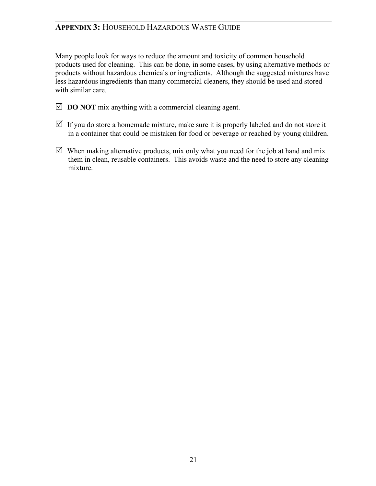Many people look for ways to reduce the amount and toxicity of common household products used for cleaning. This can be done, in some cases, by using alternative methods or products without hazardous chemicals or ingredients. Although the suggested mixtures have less hazardous ingredients than many commercial cleaners, they should be used and stored with similar care.

- $\boxtimes$  **DO NOT** mix anything with a commercial cleaning agent.
- $\triangledown$  If you do store a homemade mixture, make sure it is properly labeled and do not store it in a container that could be mistaken for food or beverage or reached by young children.
- $\boxtimes$  When making alternative products, mix only what you need for the job at hand and mix them in clean, reusable containers. This avoids waste and the need to store any cleaning mixture.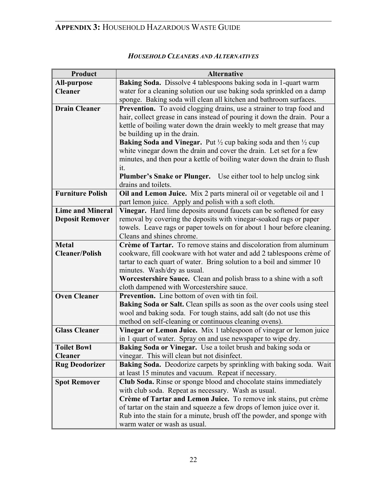| Product                 | <b>Alternative</b>                                                                           |  |  |  |  |  |  |
|-------------------------|----------------------------------------------------------------------------------------------|--|--|--|--|--|--|
| <b>All-purpose</b>      | Baking Soda. Dissolve 4 tablespoons baking soda in 1-quart warm                              |  |  |  |  |  |  |
| <b>Cleaner</b>          | water for a cleaning solution our use baking soda sprinkled on a damp                        |  |  |  |  |  |  |
|                         | sponge. Baking soda will clean all kitchen and bathroom surfaces.                            |  |  |  |  |  |  |
| <b>Drain Cleaner</b>    | Prevention. To avoid clogging drains, use a strainer to trap food and                        |  |  |  |  |  |  |
|                         | hair, collect grease in cans instead of pouring it down the drain. Pour a                    |  |  |  |  |  |  |
|                         | kettle of boiling water down the drain weekly to melt grease that may                        |  |  |  |  |  |  |
|                         | be building up in the drain.                                                                 |  |  |  |  |  |  |
|                         | <b>Baking Soda and Vinegar.</b> Put $\frac{1}{2}$ cup baking soda and then $\frac{1}{2}$ cup |  |  |  |  |  |  |
|                         | white vinegar down the drain and cover the drain. Let set for a few                          |  |  |  |  |  |  |
|                         | minutes, and then pour a kettle of boiling water down the drain to flush                     |  |  |  |  |  |  |
|                         | it.                                                                                          |  |  |  |  |  |  |
|                         | <b>Plumber's Snake or Plunger.</b> Use either tool to help unclog sink                       |  |  |  |  |  |  |
|                         | drains and toilets.                                                                          |  |  |  |  |  |  |
| <b>Furniture Polish</b> | Oil and Lemon Juice. Mix 2 parts mineral oil or vegetable oil and 1                          |  |  |  |  |  |  |
|                         | part lemon juice. Apply and polish with a soft cloth.                                        |  |  |  |  |  |  |
| <b>Lime and Mineral</b> | Vinegar. Hard lime deposits around faucets can be softened for easy                          |  |  |  |  |  |  |
| <b>Deposit Remover</b>  | removal by covering the deposits with vinegar-soaked rags or paper                           |  |  |  |  |  |  |
|                         | towels. Leave rags or paper towels on for about 1 hour before cleaning.                      |  |  |  |  |  |  |
|                         | Cleans and shines chrome.                                                                    |  |  |  |  |  |  |
| <b>Metal</b>            | Crème of Tartar. To remove stains and discoloration from aluminum                            |  |  |  |  |  |  |
| <b>Cleaner/Polish</b>   | cookware, fill cookware with hot water and add 2 tablespoons crème of                        |  |  |  |  |  |  |
|                         | tartar to each quart of water. Bring solution to a boil and simmer 10                        |  |  |  |  |  |  |
|                         | minutes. Wash/dry as usual.                                                                  |  |  |  |  |  |  |
|                         | <b>Worcestershire Sauce.</b> Clean and polish brass to a shine with a soft                   |  |  |  |  |  |  |
|                         | cloth dampened with Worcestershire sauce.                                                    |  |  |  |  |  |  |
| <b>Oven Cleaner</b>     | <b>Prevention.</b> Line bottom of oven with tin foil.                                        |  |  |  |  |  |  |
|                         | Baking Soda or Salt. Clean spills as soon as the over cools using steel                      |  |  |  |  |  |  |
|                         | wool and baking soda. For tough stains, add salt (do not use this                            |  |  |  |  |  |  |
|                         | method on self-cleaning or continuous cleaning ovens).                                       |  |  |  |  |  |  |
| <b>Glass Cleaner</b>    | Vinegar or Lemon Juice. Mix 1 tablespoon of vinegar or lemon juice                           |  |  |  |  |  |  |
|                         | in 1 quart of water. Spray on and use newspaper to wipe dry.                                 |  |  |  |  |  |  |
| <b>Toilet Bowl</b>      | <b>Baking Soda or Vinegar.</b> Use a toilet brush and baking soda or                         |  |  |  |  |  |  |
| Cleaner                 | vinegar. This will clean but not disinfect.                                                  |  |  |  |  |  |  |
| <b>Rug Deodorizer</b>   | Baking Soda. Deodorize carpets by sprinkling with baking soda. Wait                          |  |  |  |  |  |  |
|                         | at least 15 minutes and vacuum. Repeat if necessary.                                         |  |  |  |  |  |  |
| <b>Spot Remover</b>     | Club Soda. Rinse or sponge blood and chocolate stains immediately                            |  |  |  |  |  |  |
|                         | with club soda. Repeat as necessary. Wash as usual.                                          |  |  |  |  |  |  |
|                         | Crème of Tartar and Lemon Juice. To remove ink stains, put crème                             |  |  |  |  |  |  |
|                         | of tartar on the stain and squeeze a few drops of lemon juice over it.                       |  |  |  |  |  |  |
|                         | Rub into the stain for a minute, brush off the powder, and sponge with                       |  |  |  |  |  |  |
|                         | warm water or wash as usual.                                                                 |  |  |  |  |  |  |

### *HOUSEHOLD CLEANERS AND ALTERNATIVES*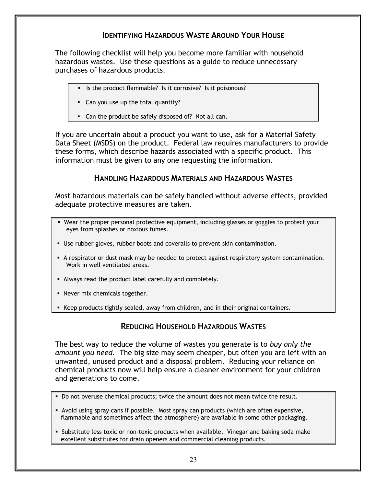## **IDENTIFYING HAZARDOUS WASTE AROUND YOUR HOUSE**

The following checklist will help you become more familiar with household hazardous wastes. Use these questions as a guide to reduce unnecessary purchases of hazardous products.

- If Is the product flammable? Is it corrosive? Is it poisonous?
- **Can you use up the total quantity?**
- **Can the product be safely disposed of? Not all can.**

If you are uncertain about a product you want to use, ask for a Material Safety Data Sheet (MSDS) on the product. Federal law requires manufacturers to provide these forms, which describe hazards associated with a specific product. This information must be given to any one requesting the information.

### **HANDLING HAZARDOUS MATERIALS AND HAZARDOUS WASTES**

Most hazardous materials can be safely handled without adverse effects, provided adequate protective measures are taken.

- Wear the proper personal protective equipment, including glasses or goggles to protect your eyes from splashes or noxious fumes.
- Use rubber gloves, rubber boots and coveralls to prevent skin contamination.
- A respirator or dust mask may be needed to protect against respiratory system contamination. Work in well ventilated areas.
- Always read the product label carefully and completely.
- **Never mix chemicals together.**
- Keep products tightly sealed, away from children, and in their original containers.

### **REDUCING HOUSEHOLD HAZARDOUS WASTES**

The best way to reduce the volume of wastes you generate is to *buy only the amount you need.* The big size may seem cheaper, but often you are left with an unwanted, unused product and a disposal problem. Reducing your reliance on chemical products now will help ensure a cleaner environment for your children and generations to come.

- Do not overuse chemical products; twice the amount does not mean twice the result.
- Avoid using spray cans if possible. Most spray can products (which are often expensive, flammable and sometimes affect the atmosphere) are available in some other packaging.
- **Substitute less toxic or non-toxic products when available. Vinegar and baking soda make** excellent substitutes for drain openers and commercial cleaning products.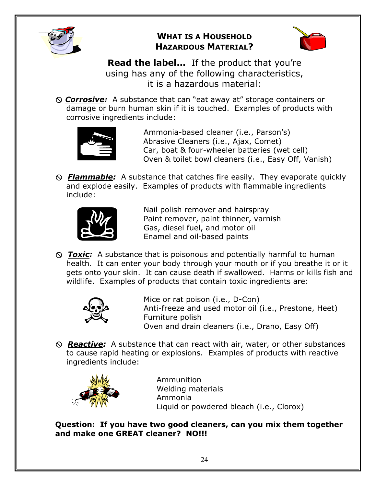

## **WHAT IS A HOUSEHOLD HAZARDOUS MATERIAL?**



**Read the label…** If the product that you're using has any of the following characteristics, it is a hazardous material:

[ *Corrosive:* A substance that can "eat away at" storage containers or damage or burn human skin if it is touched. Examples of products with corrosive ingredients include:



 Ammonia-based cleaner (i.e., Parson's) Abrasive Cleaners (i.e., Ajax, Comet) Car, boat & four-wheeler batteries (wet cell) Oven & toilet bowl cleaners (i.e., Easy Off, Vanish)

[*Flammable:* A substance that catches fire easily. They evaporate quickly and explode easily. Examples of products with flammable ingredients include:



 Nail polish remover and hairspray Paint remover, paint thinner, varnish Gas, diesel fuel, and motor oil Enamel and oil-based paints

[*Toxic:* A substance that is poisonous and potentially harmful to human health. It can enter your body through your mouth or if you breathe it or it gets onto your skin. It can cause death if swallowed. Harms or kills fish and wildlife. Examples of products that contain toxic ingredients are:



 Mice or rat poison (i.e., D-Con) Anti-freeze and used motor oil (i.e., Prestone, Heet) Furniture polish Oven and drain cleaners (i.e., Drano, Easy Off)

[*Reactive:* A substance that can react with air, water, or other substances to cause rapid heating or explosions. Examples of products with reactive ingredients include:



 Ammunition Welding materials Ammonia Liquid or powdered bleach (i.e., Clorox)

**Question: If you have two good cleaners, can you mix them together and make one GREAT cleaner? NO!!!**